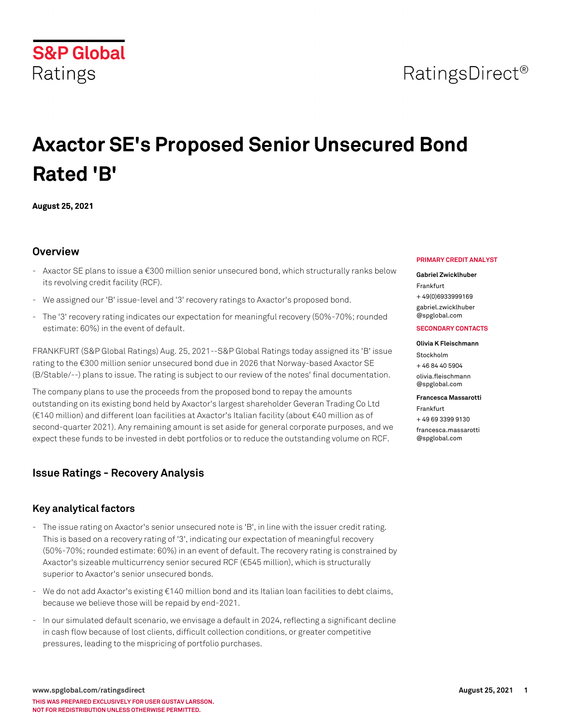# RatingsDirect<sup>®</sup>

# **Axactor SE's Proposed Senior Unsecured Bond Rated 'B'**

**August 25, 2021**

**S&P Global** 

Ratings

## **Overview**

- Axactor SE plans to issue a €300 million senior unsecured bond, which structurally ranks below its revolving credit facility (RCF).
- We assigned our 'B' issue-level and '3' recovery ratings to Axactor's proposed bond.
- The '3' recovery rating indicates our expectation for meaningful recovery (50%-70%; rounded estimate: 60%) in the event of default.

FRANKFURT (S&P Global Ratings) Aug. 25, 2021--S&P Global Ratings today assigned its 'B' issue rating to the €300 million senior unsecured bond due in 2026 that Norway-based Axactor SE (B/Stable/--) plans to issue. The rating is subject to our review of the notes' final documentation.

The company plans to use the proceeds from the proposed bond to repay the amounts outstanding on its existing bond held by Axactor's largest shareholder Geveran Trading Co Ltd (€140 million) and different loan facilities at Axactor's Italian facility (about €40 million as of second-quarter 2021). Any remaining amount is set aside for general corporate purposes, and we expect these funds to be invested in debt portfolios or to reduce the outstanding volume on RCF.

## **Issue Ratings - Recovery Analysis**

## **Key analytical factors**

- The issue rating on Axactor's senior unsecured note is 'B', in line with the issuer credit rating. This is based on a recovery rating of '3', indicating our expectation of meaningful recovery (50%-70%; rounded estimate: 60%) in an event of default. The recovery rating is constrained by Axactor's sizeable multicurrency senior secured RCF (€545 million), which is structurally superior to Axactor's senior unsecured bonds.
- We do not add Axactor's existing €140 million bond and its Italian loan facilities to debt claims, because we believe those will be repaid by end-2021.
- In our simulated default scenario, we envisage a default in 2024, reflecting a significant decline in cash flow because of lost clients, difficult collection conditions, or greater competitive pressures, leading to the mispricing of portfolio purchases.

#### **PRIMARY CREDIT ANALYST**

#### **Gabriel Zwicklhuber**

Frankfurt + 49(0)6933999169 [gabriel.zwicklhuber](mailto: gabriel.zwicklhuber@spglobal.com) [@spglobal.com](mailto: gabriel.zwicklhuber@spglobal.com)

#### **SECONDARY CONTACTS**

#### **Olivia K Fleischmann**

Stockholm + 46 84 40 5904 [olivia.fleischmann](mailto: olivia.fleischmann@spglobal.com) [@spglobal.com](mailto: olivia.fleischmann@spglobal.com)

#### **Francesca Massarotti**

Frankfurt

+ 49 69 3399 9130 [francesca.massarotti](mailto: francesca.massarotti@spglobal.com) [@spglobal.com](mailto: francesca.massarotti@spglobal.com)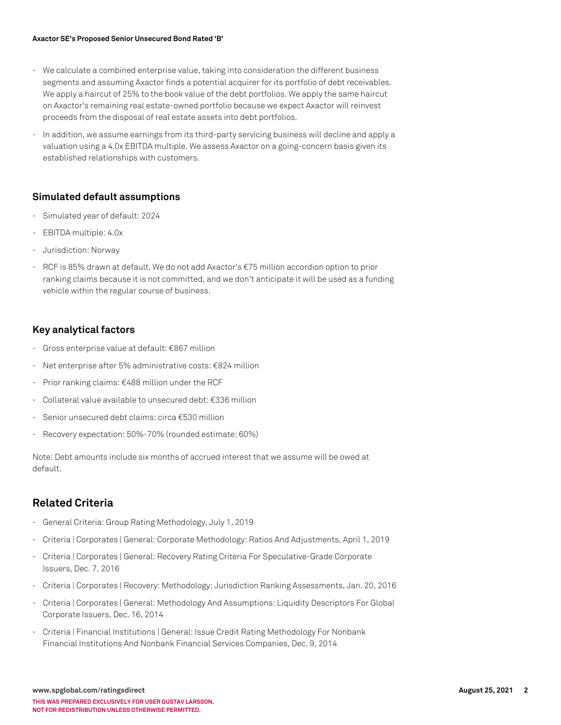- We calculate a combined enterprise value, taking into consideration the different business segments and assuming Axactor finds a potential acquirer for its portfolio of debt receivables. We apply a haircut of 25% to the book value of the debt portfolios. We apply the same haircut on Axactor's remaining real estate-owned portfolio because we expect Axactor will reinvest proceeds from the disposal of real estate assets into debt portfolios.
- In addition, we assume earnings from its third-party servicing business will decline and apply a valuation using a 4.0x EBITDA multiple. We assess Axactor on a going-concern basis given its established relationships with customers.

### **Simulated default assumptions**

- Simulated year of default: 2024
- EBITDA multiple: 4.0x
- Jurisdiction: Norway
- RCF is 85% drawn at default. We do not add Axactor's €75 million accordion option to prior ranking claims because it is not committed, and we don't anticipate it will be used as a funding vehicle within the regular course of business.

### **Key analytical factors**

- Gross enterprise value at default: €867 million
- Net enterprise after 5% administrative costs: €824 million
- Prior ranking claims: €488 million under the RCF
- Collateral value available to unsecured debt: €336 million
- Senior unsecured debt claims: circa €530 million
- Recovery expectation: 50%-70% (rounded estimate: 60%)

Note: Debt amounts include six months of accrued interest that we assume will be owed at default.

## **Related Criteria**

- General Criteria: Group Rating Methodology, July 1, 2019
- Criteria | Corporates | General: Corporate Methodology: Ratios And Adjustments, April 1, 2019
- Criteria | Corporates | General: Recovery Rating Criteria For Speculative-Grade Corporate Issuers, Dec. 7, 2016
- Criteria | Corporates | Recovery: Methodology: Jurisdiction Ranking Assessments, Jan. 20, 2016
- Criteria | Corporates | General: Methodology And Assumptions: Liquidity Descriptors For Global Corporate Issuers, Dec. 16, 2014
- Criteria | Financial Institutions | General: Issue Credit Rating Methodology For Nonbank Financial Institutions And Nonbank Financial Services Companies, Dec. 9, 2014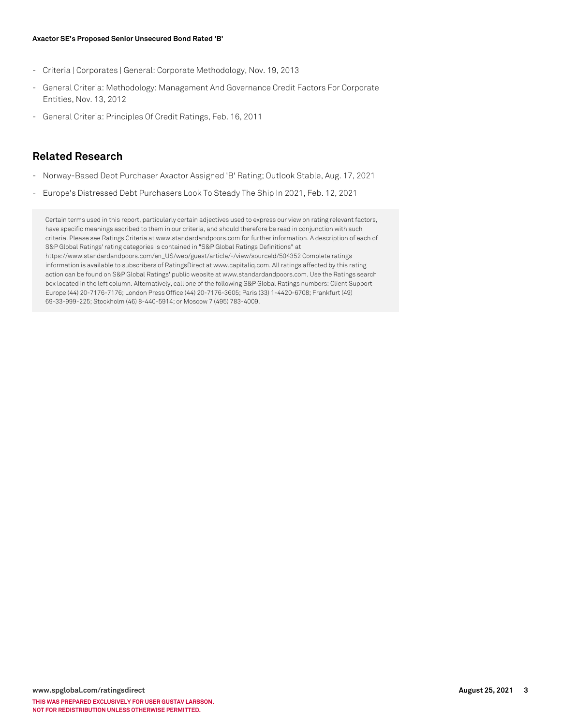- Criteria | Corporates | General: Corporate Methodology, Nov. 19, 2013
- General Criteria: Methodology: Management And Governance Credit Factors For Corporate Entities, Nov. 13, 2012
- General Criteria: Principles Of Credit Ratings, Feb. 16, 2011

## **Related Research**

- Norway-Based Debt Purchaser Axactor Assigned 'B' Rating; Outlook Stable, Aug. 17, 2021
- Europe's Distressed Debt Purchasers Look To Steady The Ship In 2021, Feb. 12, 2021

Certain terms used in this report, particularly certain adjectives used to express our view on rating relevant factors, have specific meanings ascribed to them in our criteria, and should therefore be read in conjunction with such criteria. Please see Ratings Criteria at www.standardandpoors.com for further information. A description of each of S&P Global Ratings' rating categories is contained in "S&P Global Ratings Definitions" at https://www.standardandpoors.com/en\_US/web/guest/article/-/view/sourceId/504352 Complete ratings information is available to subscribers of RatingsDirect at www.capitaliq.com. All ratings affected by this rating action can be found on S&P Global Ratings' public website at www.standardandpoors.com. Use the Ratings search box located in the left column. Alternatively, call one of the following S&P Global Ratings numbers: Client Support Europe (44) 20-7176-7176; London Press Office (44) 20-7176-3605; Paris (33) 1-4420-6708; Frankfurt (49) 69-33-999-225; Stockholm (46) 8-440-5914; or Moscow 7 (495) 783-4009.